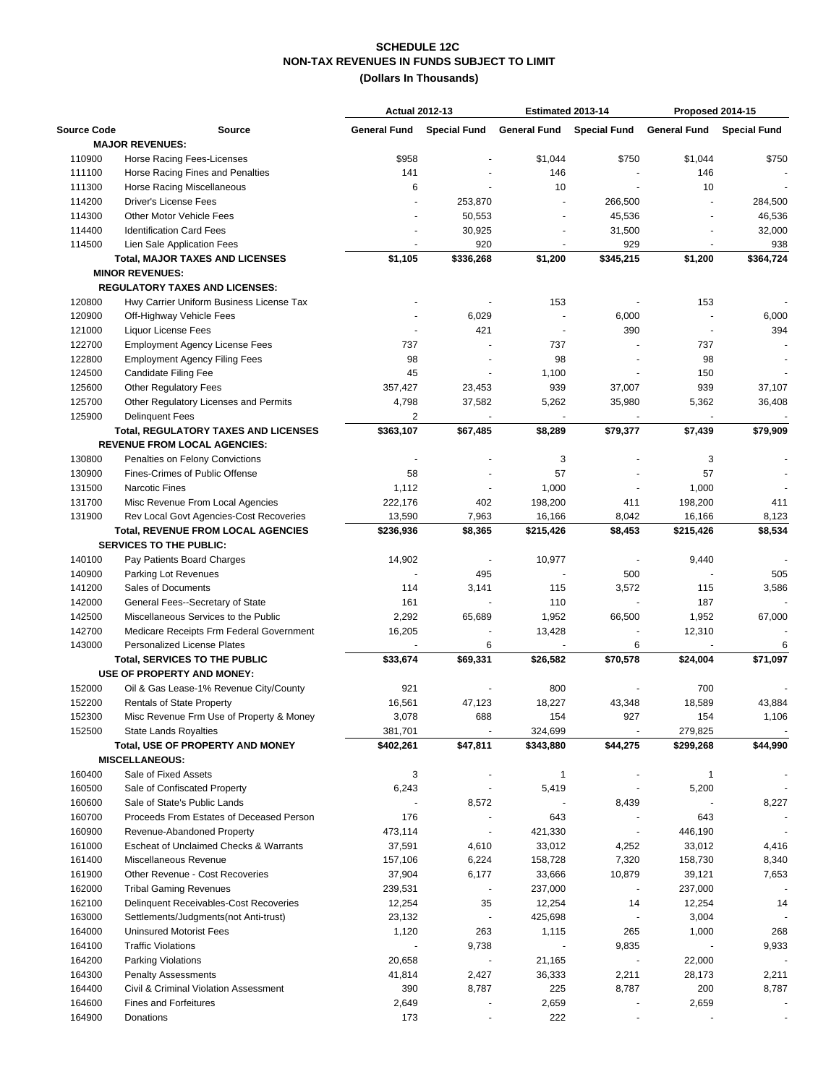## **NON-TAX REVENUES IN FUNDS SUBJECT TO LIMIT (Dollars In Thousands) SCHEDULE 12C**

|                                      |                                             | <b>Actual 2012-13</b> |                         | Estimated 2013-14        |                           | Proposed 2014-15                 |           |
|--------------------------------------|---------------------------------------------|-----------------------|-------------------------|--------------------------|---------------------------|----------------------------------|-----------|
| <b>Source Code</b>                   | <b>Source</b>                               | <b>General Fund</b>   | <b>Special Fund</b>     |                          | General Fund Special Fund | <b>General Fund Special Fund</b> |           |
|                                      | <b>MAJOR REVENUES:</b>                      |                       |                         |                          |                           |                                  |           |
| 110900                               | Horse Racing Fees-Licenses                  | \$958                 |                         | \$1,044                  | \$750                     | \$1,044                          | \$750     |
| 111100                               | Horse Racing Fines and Penalties            | 141                   |                         | 146                      |                           | 146                              |           |
| 111300                               | <b>Horse Racing Miscellaneous</b>           | 6                     |                         | 10                       |                           | 10                               |           |
| 114200                               | <b>Driver's License Fees</b>                |                       | 253,870                 |                          | 266,500                   |                                  | 284,500   |
| 114300                               | <b>Other Motor Vehicle Fees</b>             |                       | 50,553                  |                          | 45,536                    |                                  | 46,536    |
| 114400                               | <b>Identification Card Fees</b>             |                       | 30,925                  |                          | 31,500                    |                                  | 32,000    |
| 114500                               | Lien Sale Application Fees                  |                       | 920                     |                          | 929                       |                                  | 938       |
|                                      | <b>Total, MAJOR TAXES AND LICENSES</b>      | \$1,105               | \$336,268               | \$1,200                  | \$345,215                 | \$1,200                          | \$364,724 |
|                                      | <b>MINOR REVENUES:</b>                      |                       |                         |                          |                           |                                  |           |
|                                      | <b>REGULATORY TAXES AND LICENSES:</b>       |                       |                         |                          |                           |                                  |           |
| 120800                               | Hwy Carrier Uniform Business License Tax    |                       |                         | 153                      |                           | 153                              |           |
| 120900                               | Off-Highway Vehicle Fees                    |                       | 6,029                   |                          | 6,000                     |                                  | 6,000     |
| 121000                               | <b>Liquor License Fees</b>                  |                       | 421                     | $\overline{\phantom{a}}$ | 390                       |                                  | 394       |
| 122700                               | <b>Employment Agency License Fees</b>       | 737                   |                         | 737                      |                           | 737                              |           |
| 122800                               | <b>Employment Agency Filing Fees</b>        | 98                    |                         | 98                       |                           | 98                               |           |
| 124500                               | Candidate Filing Fee                        | 45                    |                         | 1,100                    |                           | 150                              |           |
| 125600                               | <b>Other Regulatory Fees</b>                | 357,427               | 23,453                  | 939                      | 37,007                    | 939                              | 37,107    |
| 125700                               | Other Regulatory Licenses and Permits       | 4,798                 | 37,582                  | 5,262                    | 35,980                    | 5,362                            | 36,408    |
| 125900                               | <b>Delinquent Fees</b>                      | 2                     |                         |                          |                           | $\blacksquare$                   |           |
|                                      | <b>Total, REGULATORY TAXES AND LICENSES</b> | \$363,107             | \$67,485                | \$8,289                  | \$79,377                  | \$7,439                          | \$79,909  |
|                                      | <b>REVENUE FROM LOCAL AGENCIES:</b>         |                       |                         |                          |                           |                                  |           |
| 130800                               | Penalties on Felony Convictions             |                       |                         | 3                        |                           | 3                                |           |
| 130900                               | Fines-Crimes of Public Offense              | 58                    |                         | 57                       |                           | 57                               |           |
| 131500                               | <b>Narcotic Fines</b>                       | 1,112                 |                         | 1,000                    |                           | 1,000                            |           |
| 131700                               | Misc Revenue From Local Agencies            | 222,176               | 402                     | 198,200                  | 411                       | 198,200                          | 411       |
| 131900                               | Rev Local Govt Agencies-Cost Recoveries     | 13,590                | 7,963                   | 16,166                   | 8,042                     | 16,166                           | 8,123     |
|                                      | <b>Total, REVENUE FROM LOCAL AGENCIES</b>   | \$236,936             | \$8,365                 | \$215,426                | \$8,453                   | \$215,426                        | \$8,534   |
|                                      | <b>SERVICES TO THE PUBLIC:</b>              |                       |                         |                          |                           |                                  |           |
| 140100                               |                                             | 14,902                |                         |                          |                           | 9,440                            |           |
|                                      | Pay Patients Board Charges                  |                       |                         | 10,977                   |                           |                                  |           |
| 140900                               | Parking Lot Revenues                        |                       | 495                     |                          | 500                       |                                  | 505       |
| 141200<br>142000                     | Sales of Documents                          | 114<br>161            | 3,141<br>$\blacksquare$ | 115<br>110               | 3,572<br>L,               | 115<br>187                       | 3,586     |
|                                      | General Fees--Secretary of State            |                       |                         |                          |                           | 1,952                            |           |
| 142500                               | Miscellaneous Services to the Public        | 2,292                 | 65,689                  | 1,952                    | 66,500                    |                                  | 67,000    |
| 142700                               | Medicare Receipts Frm Federal Government    | 16,205                |                         | 13,428                   | $\overline{\phantom{a}}$  | 12,310                           |           |
| 143000                               | Personalized License Plates                 |                       | 6                       |                          | 6                         |                                  | 6         |
| <b>Total, SERVICES TO THE PUBLIC</b> |                                             | \$33,674              | \$69,331                | \$26,582                 | \$70,578                  | \$24,004                         | \$71,097  |
|                                      | USE OF PROPERTY AND MONEY:                  |                       |                         |                          |                           |                                  |           |
| 152000                               | Oil & Gas Lease-1% Revenue City/County      | 921                   |                         | 800                      |                           | 700                              |           |
| 152200                               | <b>Rentals of State Property</b>            | 16,561                | 47,123                  | 18,227                   | 43,348                    | 18,589                           | 43,884    |
| 152300                               | Misc Revenue Frm Use of Property & Money    | 3,078                 | 688                     | 154                      | 927                       | 154                              | 1,106     |
| 152500                               | <b>State Lands Royalties</b>                | 381,701               |                         | 324,699                  |                           | 279,825                          |           |
|                                      | Total, USE OF PROPERTY AND MONEY            | \$402,261             | \$47,811                | \$343,880                | \$44,275                  | \$299,268                        | \$44,990  |
|                                      | <b>MISCELLANEOUS:</b>                       |                       |                         |                          |                           |                                  |           |
| 160400                               | Sale of Fixed Assets                        | 3                     |                         | $\mathbf{1}$             |                           | $\mathbf{1}$                     |           |
| 160500                               | Sale of Confiscated Property                | 6,243                 |                         | 5,419                    |                           | 5,200                            |           |
| 160600                               | Sale of State's Public Lands                |                       | 8,572                   |                          | 8,439                     |                                  | 8,227     |
| 160700                               | Proceeds From Estates of Deceased Person    | 176                   |                         | 643                      |                           | 643                              |           |
| 160900                               | Revenue-Abandoned Property                  | 473,114               |                         | 421,330                  | $\overline{\phantom{a}}$  | 446,190                          |           |
| 161000                               | Escheat of Unclaimed Checks & Warrants      | 37,591                | 4,610                   | 33,012                   | 4,252                     | 33,012                           | 4,416     |
| 161400                               | Miscellaneous Revenue                       | 157,106               | 6,224                   | 158,728                  | 7,320                     | 158,730                          | 8,340     |
| 161900                               | Other Revenue - Cost Recoveries             | 37,904                | 6,177                   | 33,666                   | 10,879                    | 39,121                           | 7,653     |
| 162000                               | <b>Tribal Gaming Revenues</b>               | 239,531               |                         | 237,000                  | $\overline{\phantom{a}}$  | 237,000                          |           |
| 162100                               | Delinquent Receivables-Cost Recoveries      | 12,254                | 35                      | 12,254                   | 14                        | 12,254                           | 14        |
| 163000                               | Settlements/Judgments(not Anti-trust)       | 23,132                |                         | 425,698                  |                           | 3,004                            |           |
| 164000                               | <b>Uninsured Motorist Fees</b>              | 1,120                 | 263                     | 1,115                    | 265                       | 1,000                            | 268       |
| 164100                               | <b>Traffic Violations</b>                   |                       | 9,738                   |                          | 9,835                     |                                  | 9,933     |
| 164200                               | <b>Parking Violations</b>                   | 20,658                |                         | 21,165                   |                           | 22,000                           |           |
| 164300                               | <b>Penalty Assessments</b>                  | 41,814                | 2,427                   | 36,333                   | 2,211                     | 28,173                           | 2,211     |
| 164400                               | Civil & Criminal Violation Assessment       | 390                   | 8,787                   | 225                      | 8,787                     | 200                              | 8,787     |
| 164600                               | <b>Fines and Forfeitures</b>                | 2,649                 |                         | 2,659                    |                           | 2,659                            |           |
| 164900                               | Donations                                   | 173                   |                         | 222                      |                           |                                  |           |